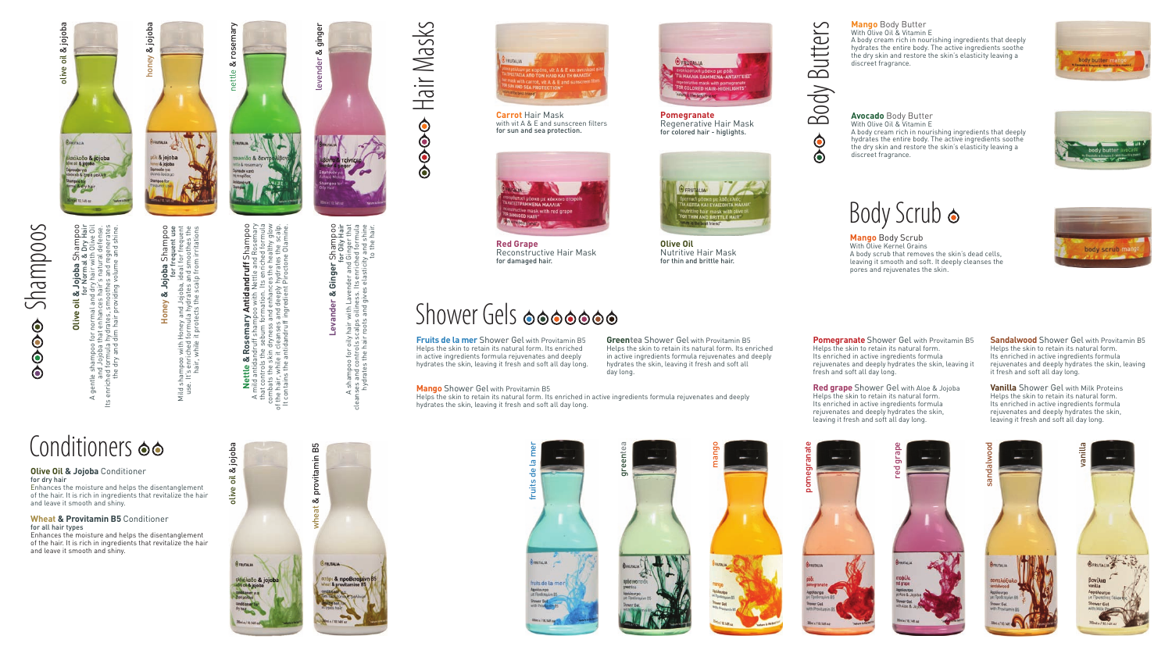# Shampoos  $\frac{1}{2}$

# **Olive oil & Jojoba** Shampoo න්.  $\overline{\bullet}$ **Olive**

olive oil & jojoba

**OFFITALIA** 

blive oil & jojoba

olive oil & jojoba

os.im<br>Bin<br>e for Normal & Dry Hair A gentle shampoo for normal and dry hair with Olive Oil Its enriched formula hydrates, smoothes and regenerates the dry and dim hair providing volume and shine. and Jojoba that enhances hair's natural defense. **Jojoba** Shan<br>Mormal & Dry<br>Yhair with Oli<br>r´s natural def ិម្លិ o for r<br>a that<br>la hydr<br>nd dim gentle<br>ar

Conditioners  $\bullet\bullet$ 

 $\pm$ 

**Wheat & Provitamin B5** Conditioner

Enhances the moisture and helps the disentanglement of the hair. It is rich in ingredients that revitalize the hair

Enhances the moisture and helps the disentanglement of the hair. It is rich in ingredients that revitalize the hair

**Olive Oil & Jojoba** Conditioner

and leave it smooth and shiny.

and leave it smooth and shiny.

for dry hair

for all hair types

tinóλαδο & jojoba k & jojoba<br>w & jojoba **oba** Shampoo<br>for frequent use<br>deal for frequent<br>nd smoothes the<br>of from irritations **Honey & Jojoba** Shampoo for frequent use Honey & Jojoba S<br>for fre

honey

& jojoba

Mild shampoo with Honey and Jojoba, ideal for frequent use. It's enriched formula hydrates and smoothes the hair, while it protects the scalp from irritations with Honey and Jojoba, ide<br>ched formula hydrates an<br>while it protects the scalp nampoo<br>It's enriq

 $\frac{3}{2}$ 

nettle

iða & ðe

& rosemary

ë

చ

olive oil & jojoba

olive

**OFRITALIA** 

oil & jojoba

**Le & Rosemary Antidandruff Shampo**<br>tidandruff shampoo with Nettle and Rosemary<br>rols the sebum formation. Its enriched formula<br>heisk in dryness and enhany the healthy glow<br>the antidandruff ingredient Piroctone Olamine. **Nettle & Rosemary Antidandruff** Shampoo Α mild antidandruff shampoo with Nettle and Rosemary combats the skin dryness and enhances the healthy glow that controls the sebum formation. Its enriched formula of the hair, while it cleanses and deeply hydrates the scalp. It contains the antidandruff ingredient Piroctone Olamine. **Nettle &**<br>antid antid<br>t controls<br>bats the s 5 బ.≧

### **k Ginger Shampoo**<br>ender and Ging Hair<br>ender and Ging Hair<br>. Its enriched formula<br>se elasticity and shine **Levander & Ginger** Shampoo for Oily Hair A shampoo for oily hair with Lavender and Ginger that cleanses and controls scalps oiliness. Its enriched formula & Ginger 9 with Lavend<br>5 oiliness. Its<br>5 and gives e Levander hair w<br>calps c<br>roots a

 $\prec$ 

vheat & provitamin B5 & provitamin B5

levender &

ginger

raily I<br>Da sc<br>Nair I

hydrates the hair roots and gives elasticity and shine

to the hair.

Hair Masks



**Carrot** Hair Mask with vit A & E and sunscreen filters for sun and sea protection.



**Red Grape** Reconstructive Hair Mask for damaged hair.

# Shower Gels **oppoon**

fruits de la mer

FRUTALIA

음 fruits

**Fruits de la mer** Shower Gel with Provitamin B5 Helps the skin to retain its natural form. Its enriched in active ingredients formula rejuvenates and deeply hydrates the skin, leaving it fresh and soft all day long.

#### **Mango** Shower Gel with Provitamin B5

Helps the skin to retain its natural form. Its enriched in active ingredients formula rejuvenates and deeply hydrates the skin, leaving it fresh and soft all day long.

**Greentea** Shower Gel with Provitamin B5 Helps the skin to retain its natural form. Its enriched in active ingredients formula rejuvenates and deeply hydrates the skin, leaving it fresh and soft all day long.

**Pomegranate** Shower Gel with Provitamin B5 Helps the skin to retain its natural form. Its enriched in active ingredients formula rejuvenates and deeply hydrates the skin, leaving it fresh and soft all day long.

**Red grape** Shower Gel with Aloe & Jojoba Helps the skin to retain its natural form. Its enriched in active ingredients formula rejuvenates and deeply hydrates the skin, leaving it fresh and soft all day long.

red grape

**Sandalwood** Shower Gel with Provitamin B5 Helps the skin to retain its natural form. Its enriched in active ingredients formula rejuvenates and deeply hydrates the skin, leaving it fresh and soft all day long.

**Vanilla** Shower Gel with Milk Proteins Helps the skin to retain its natural form. Its enriched in active ingredients formula rejuvenates and deeply hydrates the skin, leaving it fresh and soft all day long.





pomegranate

mora

the dry skin and restore the skin's elasticity leaving a discreet fragrance. **Avocado** Body Butter With Olive Oil & Vitamin E

A body cream rich in nourishing ingredients that deeply hydrates the entire body. The active ingredients soothe the dry skin and restore the skin's elasticity leaving a discreet fragrance.



body scrub



**Mango** Body Scrub With Olive Kernel Grains A body scrub that removes the skin's dead cells, leaving it smooth and soft. It deeply cleanses the pores and rejuvenates the skin.



sandalwood

andalwo







**Olive Oil** Nutritive Hair Mask for thin and brittle hair.

**OFRUTALIA** 

Body Butters  $\ddot{\bullet}$  $\ddot{\bullet}$